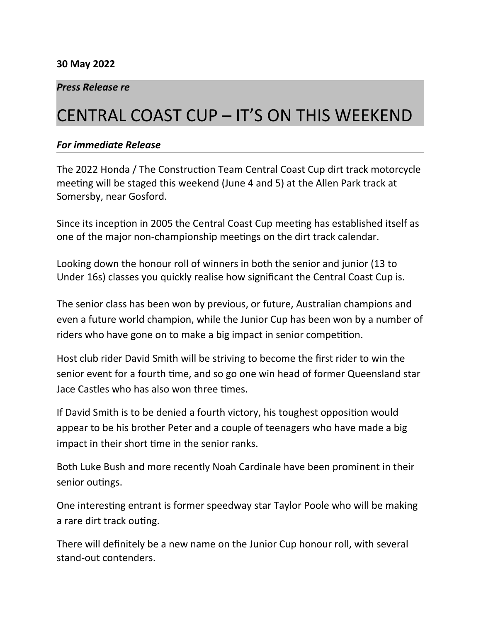## *Press Release re*

# CENTRAL COAST CUP – IT'S ON THIS WEEKEND

#### *For immediate Release*

The 2022 Honda / The Construction Team Central Coast Cup dirt track motorcycle meeting will be staged this weekend (June 4 and 5) at the Allen Park track at Somersby, near Gosford.

Since its inception in 2005 the Central Coast Cup meeting has established itself as one of the major non-championship meetings on the dirt track calendar.

Looking down the honour roll of winners in both the senior and junior (13 to Under 16s) classes you quickly realise how significant the Central Coast Cup is.

The senior class has been won by previous, or future, Australian champions and even a future world champion, while the Junior Cup has been won by a number of riders who have gone on to make a big impact in senior competition.

Host club rider David Smith will be striving to become the first rider to win the senior event for a fourth time, and so go one win head of former Queensland star Jace Castles who has also won three times.

If David Smith is to be denied a fourth victory, his toughest opposition would appear to be his brother Peter and a couple of teenagers who have made a big impact in their short time in the senior ranks.

Both Luke Bush and more recently Noah Cardinale have been prominent in their senior outings.

One interesting entrant is former speedway star Taylor Poole who will be making a rare dirt track outing.

There will definitely be a new name on the Junior Cup honour roll, with several stand-out contenders.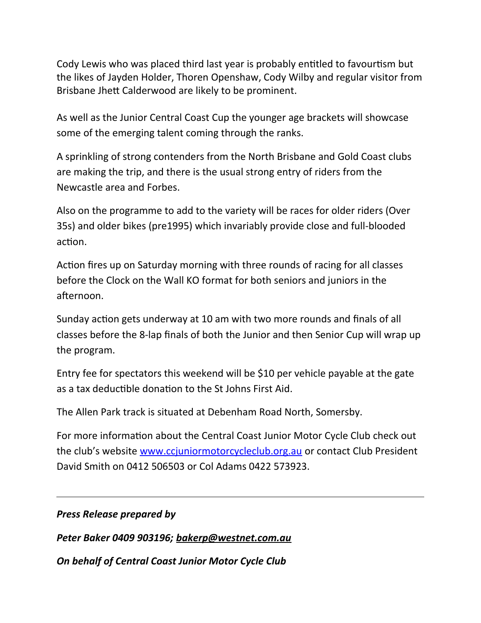Cody Lewis who was placed third last year is probably entitled to favourtism but the likes of Jayden Holder, Thoren Openshaw, Cody Wilby and regular visitor from Brisbane Jhett Calderwood are likely to be prominent.

As well as the Junior Central Coast Cup the younger age brackets will showcase some of the emerging talent coming through the ranks.

A sprinkling of strong contenders from the North Brisbane and Gold Coast clubs are making the trip, and there is the usual strong entry of riders from the Newcastle area and Forbes.

Also on the programme to add to the variety will be races for older riders (Over 35s) and older bikes (pre1995) which invariably provide close and full-blooded action.

Action fires up on Saturday morning with three rounds of racing for all classes before the Clock on the Wall KO format for both seniors and juniors in the afternoon.

Sunday action gets underway at 10 am with two more rounds and finals of all classes before the 8-lap finals of both the Junior and then Senior Cup will wrap up the program.

Entry fee for spectators this weekend will be \$10 per vehicle payable at the gate as a tax deductible donation to the St Johns First Aid.

The Allen Park track is situated at Debenham Road North, Somersby.

For more information about the Central Coast Junior Motor Cycle Club check out the club's website [www.ccjuniormotorcycleclub.org.au](http://www.ccjuniormotorcycleclub.org.au/) or contact Club President David Smith on 0412 506503 or Col Adams 0422 573923.

## *Press Release prepared by*

*Peter Baker 0409 903196; bakerp@westnet.com.au*

*On behalf of Central Coast Junior Motor Cycle Club*